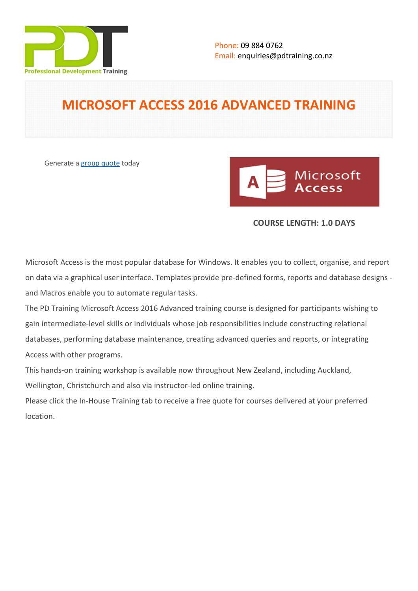

## **MICROSOFT ACCESS 2016 ADVANCED TRAINING**

Generate a [group quote](https://pdtraining.co.nz/inhouse-training-quote?cse=MSA16A) today



### **COURSE LENGTH: 1.0 DAYS**

Microsoft Access is the most popular database for Windows. It enables you to collect, organise, and report on data via a graphical user interface. Templates provide pre-defined forms, reports and database designs and Macros enable you to automate regular tasks.

The PD Training Microsoft Access 2016 Advanced training course is designed for participants wishing to gain intermediate-level skills or individuals whose job responsibilities include constructing relational databases, performing database maintenance, creating advanced queries and reports, or integrating Access with other programs.

This hands-on training workshop is available now throughout New Zealand, including Auckland, Wellington, Christchurch and also via instructor-led online training.

Please click the In-House Training tab to receive a free quote for courses delivered at your preferred location.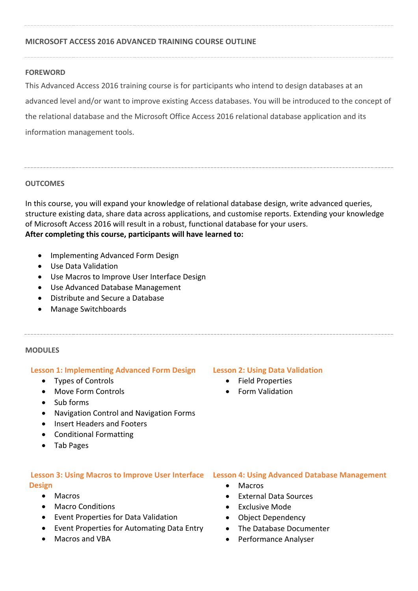### **MICROSOFT ACCESS 2016 ADVANCED TRAINING COURSE OUTLINE**

### **FOREWORD**

This Advanced Access 2016 training course is for participants who intend to design databases at an advanced level and/or want to improve existing Access databases. You will be introduced to the concept of the relational database and the Microsoft Office Access 2016 relational database application and its information management tools.

### **OUTCOMES**

In this course, you will expand your knowledge of relational database design, write advanced queries, structure existing data, share data across applications, and customise reports. Extending your knowledge of Microsoft Access 2016 will result in a robust, functional database for your users. **After completing this course, participants will have learned to:**

- Implementing Advanced Form Design
- Use Data Validation
- Use Macros to Improve User Interface Design
- Use Advanced Database Management
- Distribute and Secure a Database
- Manage Switchboards

### **MODULES**

### **Lesson 1: Implementing Advanced Form Design Lesson 2: Using Data Validation**

- Types of Controls
- Move Form Controls
- Sub forms
- Navigation Control and Navigation Forms
- Insert Headers and Footers
- Conditional Formatting
- Tab Pages

# **Design**

- Macros
- Macro Conditions
- Event Properties for Data Validation
- Event Properties for Automating Data Entry
- Macros and VBA

- Field Properties
- Form Validation

### **Lesson 3: Using Macros to Improve User Interface Lesson 4: Using Advanced Database Management**

- Macros
- External Data Sources
- Exclusive Mode
- Object Dependency
- The Database Documenter
- Performance Analyser